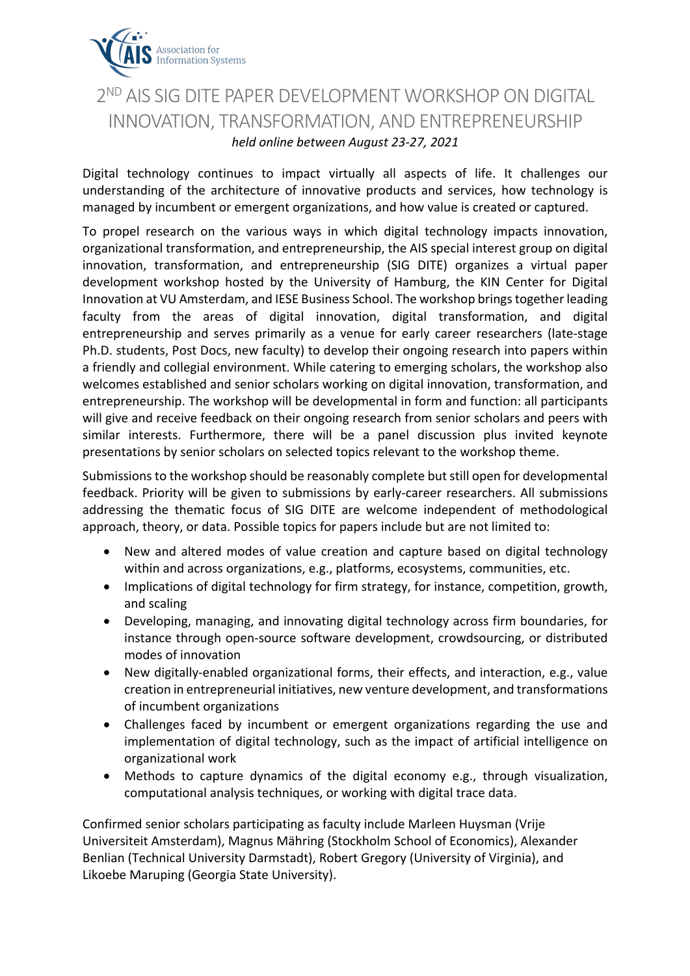

## 2<sup>ND</sup> AIS SIG DITE PAPER DEVELOPMENT WORKSHOP ON DIGITAL INNOVATION, TRANSFORMATION, AND ENTREPRENEURSHIP *held online between August 23-27, 2021*

Digital technology continues to impact virtually all aspects of life. It challenges our understanding of the architecture of innovative products and services, how technology is managed by incumbent or emergent organizations, and how value is created or captured.

To propel research on the various ways in which digital technology impacts innovation, organizational transformation, and entrepreneurship, the AIS special interest group on digital innovation, transformation, and entrepreneurship (SIG DITE) organizes a virtual paper development workshop hosted by the University of Hamburg, the KIN Center for Digital Innovation at VU Amsterdam, and IESE Business School. The workshop brings together leading faculty from the areas of digital innovation, digital transformation, and digital entrepreneurship and serves primarily as a venue for early career researchers (late-stage Ph.D. students, Post Docs, new faculty) to develop their ongoing research into papers within a friendly and collegial environment. While catering to emerging scholars, the workshop also welcomes established and senior scholars working on digital innovation, transformation, and entrepreneurship. The workshop will be developmental in form and function: all participants will give and receive feedback on their ongoing research from senior scholars and peers with similar interests. Furthermore, there will be a panel discussion plus invited keynote presentations by senior scholars on selected topics relevant to the workshop theme.

Submissions to the workshop should be reasonably complete but still open for developmental feedback. Priority will be given to submissions by early-career researchers. All submissions addressing the thematic focus of SIG DITE are welcome independent of methodological approach, theory, or data. Possible topics for papers include but are not limited to:

- New and altered modes of value creation and capture based on digital technology within and across organizations, e.g., platforms, ecosystems, communities, etc.
- Implications of digital technology for firm strategy, for instance, competition, growth, and scaling
- Developing, managing, and innovating digital technology across firm boundaries, for instance through open-source software development, crowdsourcing, or distributed modes of innovation
- New digitally-enabled organizational forms, their effects, and interaction, e.g., value creation in entrepreneurial initiatives, new venture development, and transformations of incumbent organizations
- Challenges faced by incumbent or emergent organizations regarding the use and implementation of digital technology, such as the impact of artificial intelligence on organizational work
- Methods to capture dynamics of the digital economy e.g., through visualization, computational analysis techniques, or working with digital trace data.

Confirmed senior scholars participating as faculty include Marleen Huysman (Vrije Universiteit Amsterdam), Magnus Mähring (Stockholm School of Economics), Alexander Benlian (Technical University Darmstadt), Robert Gregory (University of Virginia), and Likoebe Maruping (Georgia State University).